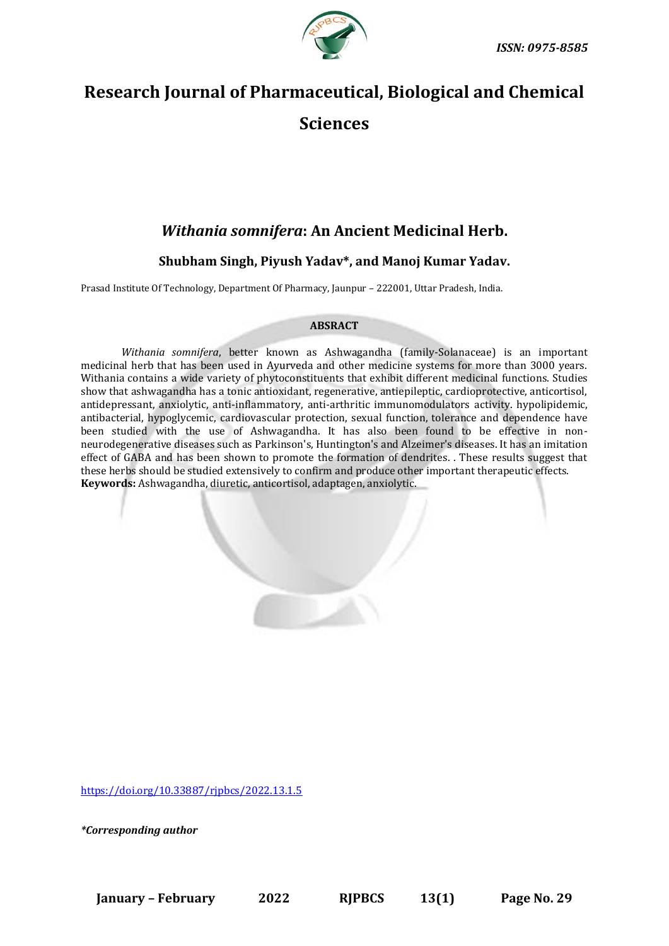

# **Research Journal of Pharmaceutical, Biological and Chemical Sciences**

## *Withania somnifera***: An Ancient Medicinal Herb.**

### **Shubham Singh, Piyush Yadav\*, and Manoj Kumar Yadav.**

Prasad Institute Of Technology, Department Of Pharmacy, Jaunpur – 222001, Uttar Pradesh, India.

#### **ABSRACT**

*Withania somnifera*, better known as Ashwagandha (family-Solanaceae) is an important medicinal herb that has been used in Ayurveda and other medicine systems for more than 3000 years. Withania contains a wide variety of phytoconstituents that exhibit different medicinal functions. Studies show that ashwagandha has a tonic antioxidant, regenerative, antiepileptic, cardioprotective, anticortisol, antidepressant, anxiolytic, anti-inflammatory, anti-arthritic immunomodulators activity. hypolipidemic, antibacterial, hypoglycemic, cardiovascular protection, sexual function, tolerance and dependence have been studied with the use of Ashwagandha. It has also been found to be effective in nonneurodegenerative diseases such as Parkinson's, Huntington's and Alzeimer's diseases. It has an imitation effect of GABA and has been shown to promote the formation of dendrites. . These results suggest that these herbs should be studied extensively to confirm and produce other important therapeutic effects. **Keywords:** Ashwagandha, diuretic, anticortisol, adaptagen, anxiolytic.

[https://doi.org/10.33887/rjpbcs/2022.13.1.5](https://doi.org/10.33887/rjpbcs/2022.13.1.1)

*\*Corresponding author*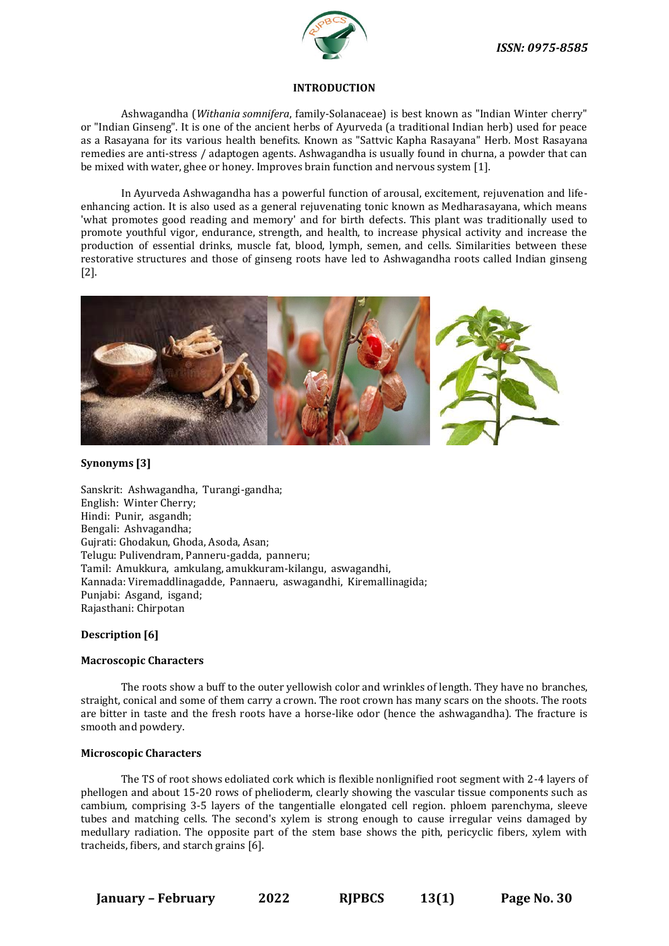

#### **INTRODUCTION**

Ashwagandha (*Withania somnifera*, family-Solanaceae) is best known as "Indian Winter cherry" or "Indian Ginseng". It is one of the ancient herbs of Ayurveda (a traditional Indian herb) used for peace as a Rasayana for its various health benefits. Known as "Sattvic Kapha Rasayana" Herb. Most Rasayana remedies are anti-stress / adaptogen agents. Ashwagandha is usually found in churna, a powder that can be mixed with water, ghee or honey. Improves brain function and nervous system [1].

In Ayurveda Ashwagandha has a powerful function of arousal, excitement, rejuvenation and lifeenhancing action. It is also used as a general rejuvenating tonic known as Medharasayana, which means 'what promotes good reading and memory' and for birth defects. This plant was traditionally used to promote youthful vigor, endurance, strength, and health, to increase physical activity and increase the production of essential drinks, muscle fat, blood, lymph, semen, and cells. Similarities between these restorative structures and those of ginseng roots have led to Ashwagandha roots called Indian ginseng [2].



#### **Synonyms [3]**

Sanskrit: Ashwagandha, Turangi-gandha; English: Winter Cherry; Hindi: Punir, asgandh; Bengali: Ashvagandha; Gujrati: Ghodakun, Ghoda, Asoda, Asan; Telugu: Pulivendram, Panneru-gadda, panneru; Tamil: Amukkura, amkulang, amukkuram-kilangu, aswagandhi, Kannada: Viremaddlinagadde, Pannaeru, aswagandhi, Kiremallinagida; Punjabi: Asgand, isgand; Rajasthani: Chirpotan

#### **Description [6]**

#### **Macroscopic Characters**

The roots show a buff to the outer yellowish color and wrinkles of length. They have no branches, straight, conical and some of them carry a crown. The root crown has many scars on the shoots. The roots are bitter in taste and the fresh roots have a horse-like odor (hence the ashwagandha). The fracture is smooth and powdery.

#### **Microscopic Characters**

The TS of root shows edoliated cork which is flexible nonlignified root segment with 2-4 layers of phellogen and about 15-20 rows of phelioderm, clearly showing the vascular tissue components such as cambium, comprising 3-5 layers of the tangentialle elongated cell region. phloem parenchyma, sleeve tubes and matching cells. The second's xylem is strong enough to cause irregular veins damaged by medullary radiation. The opposite part of the stem base shows the pith, pericyclic fibers, xylem with tracheids, fibers, and starch grains [6].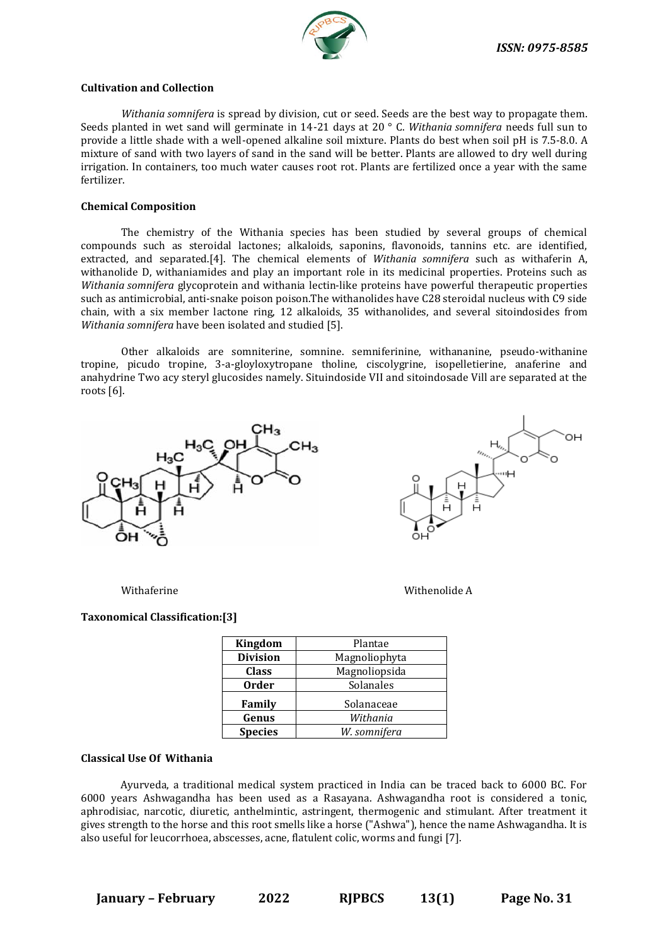

#### **Cultivation and Collection**

*Withania somnifera* is spread by division, cut or seed. Seeds are the best way to propagate them. Seeds planted in wet sand will germinate in 14-21 days at 20 ° C. *Withania somnifera* needs full sun to provide a little shade with a well-opened alkaline soil mixture. Plants do best when soil pH is 7.5-8.0. A mixture of sand with two layers of sand in the sand will be better. Plants are allowed to dry well during irrigation. In containers, too much water causes root rot. Plants are fertilized once a year with the same fertilizer.

#### **Chemical Composition**

The chemistry of the Withania species has been studied by several groups of chemical compounds such as steroidal lactones; alkaloids, saponins, flavonoids, tannins etc. are identified, extracted, and separated.[4]. The chemical elements of *Withania somnifera* such as withaferin A, withanolide D, withaniamides and play an important role in its medicinal properties. Proteins such as *Withania somnifera* glycoprotein and withania lectin-like proteins have powerful therapeutic properties such as antimicrobial, anti-snake poison poison.The withanolides have C28 steroidal nucleus with C9 side chain, with a six member lactone ring, 12 alkaloids, 35 withanolides, and several sitoindosides from *Withania somnifera* have been isolated and studied [5].

Other alkaloids are somniterine, somnine. semniferinine, withananine, pseudo-withanine tropine, picudo tropine, 3-a-gloyloxytropane tholine, ciscolygrine, isopelletierine, anaferine and anahydrine Two acy steryl glucosides namely. Situindoside VII and sitoindosade Vill are separated at the roots [6].





Withaferine **Withenolide A** 

#### **Taxonomical Classification:[3]**

| Kingdom         | Plantae       |
|-----------------|---------------|
| <b>Division</b> | Magnoliophyta |
| <b>Class</b>    | Magnoliopsida |
| <b>Order</b>    | Solanales     |
| Family          | Solanaceae    |
| Genus           | Withania      |
| <b>Species</b>  | W. somnifera  |

#### **Classical Use Of Withania**

Ayurveda, a traditional medical system practiced in India can be traced back to 6000 BC. For 6000 years Ashwagandha has been used as a Rasayana. Ashwagandha root is considered a tonic, aphrodisiac, narcotic, diuretic, anthelmintic, astringent, thermogenic and stimulant. After treatment it gives strength to the horse and this root smells like a horse ("Ashwa"), hence the name Ashwagandha. It is also useful for leucorrhoea, abscesses, acne, flatulent colic, worms and fungi [7].

**January – February 2022 RJPBCS 13(1) Page No. 31**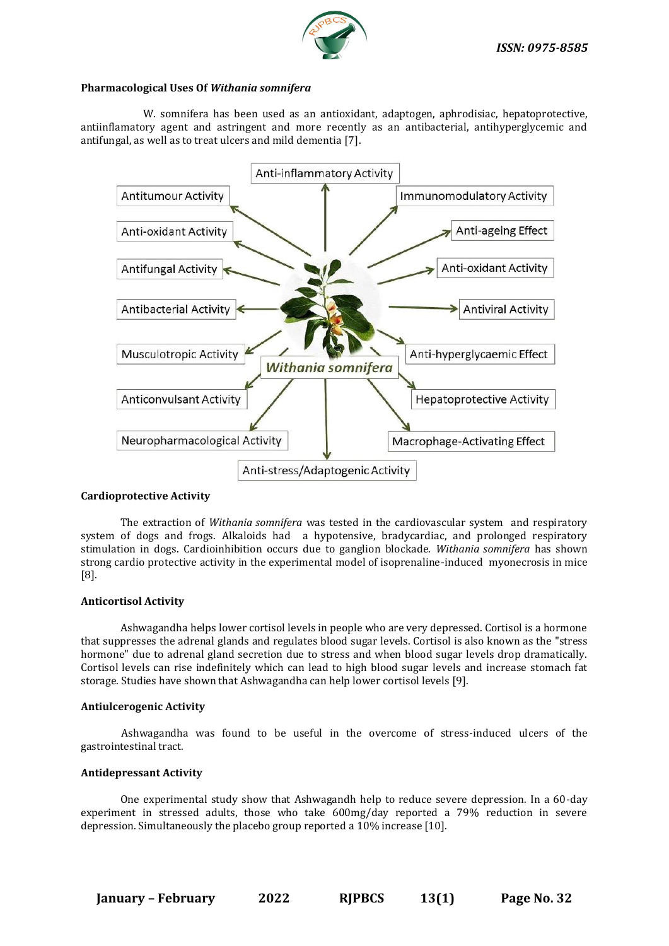

#### **Pharmacological Uses Of** *Withania somnifera*

W. somnifera has been used as an antioxidant, adaptogen, aphrodisiac, hepatoprotective, antiinflamatory agent and astringent and more recently as an antibacterial, antihyperglycemic and antifungal, as well as to treat ulcers and mild dementia [7].



#### **Cardioprotective Activity**

The extraction of *Withania somnifera* was tested in the cardiovascular system and respiratory system of dogs and frogs. Alkaloids had a hypotensive, bradycardiac, and prolonged respiratory stimulation in dogs. Cardioinhibition occurs due to ganglion blockade. *Withania somnifera* has shown strong cardio protective activity in the experimental model of isoprenaline-induced myonecrosis in mice [8].

#### **Anticortisol Activity**

Ashwagandha helps lower cortisol levels in people who are very depressed. Cortisol is a hormone that suppresses the adrenal glands and regulates blood sugar levels. Cortisol is also known as the "stress hormone" due to adrenal gland secretion due to stress and when blood sugar levels drop dramatically. Cortisol levels can rise indefinitely which can lead to high blood sugar levels and increase stomach fat storage. Studies have shown that Ashwagandha can help lower cortisol levels [9].

#### **Antiulcerogenic Activity**

Ashwagandha was found to be useful in the overcome of stress-induced ulcers of the gastrointestinal tract.

#### **Antidepressant Activity**

One experimental study show that Ashwagandh help to reduce severe depression. In a 60-day experiment in stressed adults, those who take 600mg/day reported a 79% reduction in severe depression. Simultaneously the placebo group reported a 10% increase [10].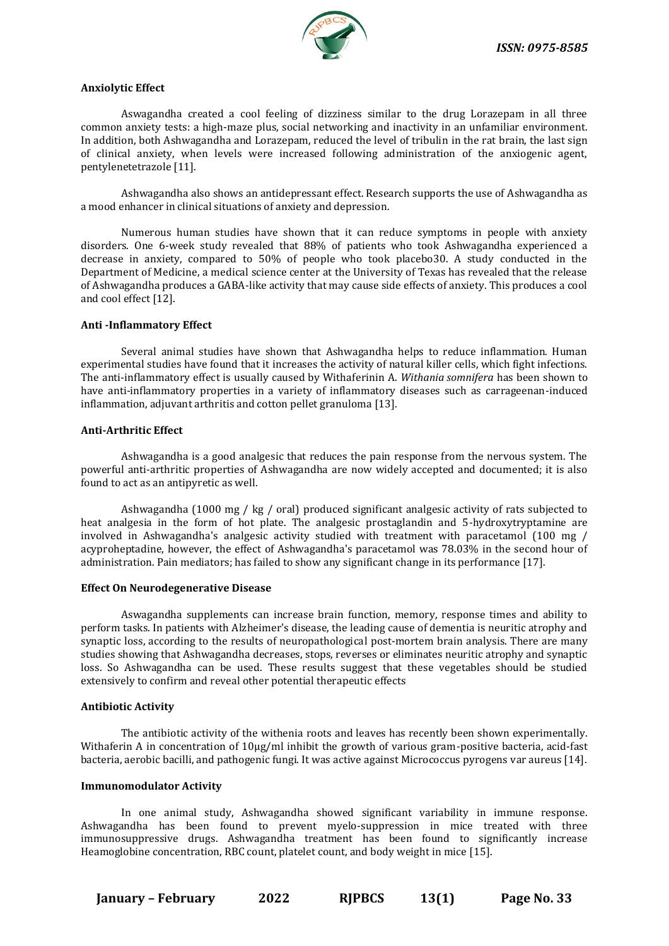

#### **Anxiolytic Effect**

Aswagandha created a cool feeling of dizziness similar to the drug Lorazepam in all three common anxiety tests: a high-maze plus, social networking and inactivity in an unfamiliar environment. In addition, both Ashwagandha and Lorazepam, reduced the level of tribulin in the rat brain, the last sign of clinical anxiety, when levels were increased following administration of the anxiogenic agent, pentylenetetrazole [11].

Ashwagandha also shows an antidepressant effect. Research supports the use of Ashwagandha as a mood enhancer in clinical situations of anxiety and depression.

Numerous human studies have shown that it can reduce symptoms in people with anxiety disorders. One 6-week study revealed that 88% of patients who took Ashwagandha experienced a decrease in anxiety, compared to 50% of people who took placebo30. A study conducted in the Department of Medicine, a medical science center at the University of Texas has revealed that the release of Ashwagandha produces a GABA-like activity that may cause side effects of anxiety. This produces a cool and cool effect [12].

#### **Anti -Inflammatory Effect**

Several animal studies have shown that Ashwagandha helps to reduce inflammation. Human experimental studies have found that it increases the activity of natural killer cells, which fight infections. The anti-inflammatory effect is usually caused by Withaferinin A. *Withania somnifera* has been shown to have anti-inflammatory properties in a variety of inflammatory diseases such as carrageenan-induced inflammation, adjuvant arthritis and cotton pellet granuloma [13].

#### **Anti-Arthritic Effect**

Ashwagandha is a good analgesic that reduces the pain response from the nervous system. The powerful anti-arthritic properties of Ashwagandha are now widely accepted and documented; it is also found to act as an antipyretic as well.

Ashwagandha (1000 mg / kg / oral) produced significant analgesic activity of rats subjected to heat analgesia in the form of hot plate. The analgesic prostaglandin and 5-hydroxytryptamine are involved in Ashwagandha's analgesic activity studied with treatment with paracetamol (100 mg / acyproheptadine, however, the effect of Ashwagandha's paracetamol was 78.03% in the second hour of administration. Pain mediators; has failed to show any significant change in its performance [17].

#### **Effect On Neurodegenerative Disease**

Aswagandha supplements can increase brain function, memory, response times and ability to perform tasks. In patients with Alzheimer's disease, the leading cause of dementia is neuritic atrophy and synaptic loss, according to the results of neuropathological post-mortem brain analysis. There are many studies showing that Ashwagandha decreases, stops, reverses or eliminates neuritic atrophy and synaptic loss. So Ashwagandha can be used. These results suggest that these vegetables should be studied extensively to confirm and reveal other potential therapeutic effects

#### **Antibiotic Activity**

The antibiotic activity of the withenia roots and leaves has recently been shown experimentally. Withaferin A in concentration of  $10\mu g/ml$  inhibit the growth of various gram-positive bacteria, acid-fast bacteria, aerobic bacilli, and pathogenic fungi. It was active against Micrococcus pyrogens var aureus [14].

#### **Immunomodulator Activity**

In one animal study, Ashwagandha showed significant variability in immune response. Ashwagandha has been found to prevent myelo-suppression in mice treated with three immunosuppressive drugs. Ashwagandha treatment has been found to significantly increase Heamoglobine concentration, RBC count, platelet count, and body weight in mice [15].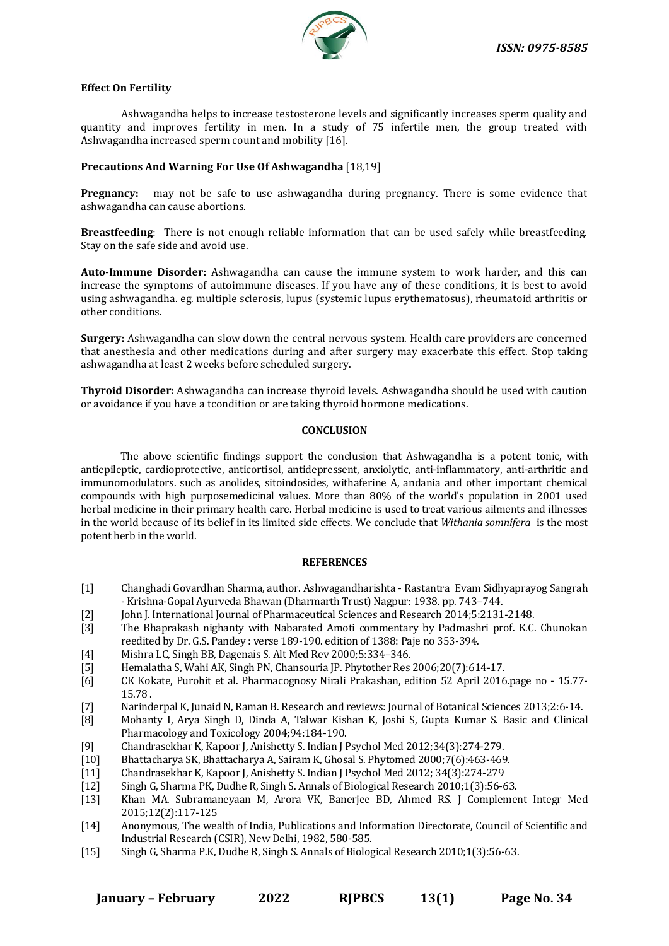

#### **Effect On Fertility**

Ashwagandha helps to increase testosterone levels and significantly increases sperm quality and quantity and improves fertility in men. In a study of 75 infertile men, the group treated with Ashwagandha increased sperm count and mobility [16].

#### **Precautions And Warning For Use Of Ashwagandha** [18,19]

**Pregnancy:** may not be safe to use ashwagandha during pregnancy. There is some evidence that ashwagandha can cause abortions.

**Breastfeeding**: There is not enough reliable information that can be used safely while breastfeeding. Stay on the safe side and avoid use.

**Auto-Immune Disorder:** Ashwagandha can cause the immune system to work harder, and this can increase the symptoms of autoimmune diseases. If you have any of these conditions, it is best to avoid using ashwagandha. eg. multiple sclerosis, lupus (systemic lupus erythematosus), rheumatoid arthritis or other conditions.

**Surgery:** Ashwagandha can slow down the central nervous system. Health care providers are concerned that anesthesia and other medications during and after surgery may exacerbate this effect. Stop taking ashwagandha at least 2 weeks before scheduled surgery.

**Thyroid Disorder:** Ashwagandha can increase thyroid levels. Ashwagandha should be used with caution or avoidance if you have a tcondition or are taking thyroid hormone medications.

#### **CONCLUSION**

The above scientific findings support the conclusion that Ashwagandha is a potent tonic, with antiepileptic, cardioprotective, anticortisol, antidepressent, anxiolytic, anti-inflammatory, anti-arthritic and immunomodulators. such as anolides, sitoindosides, withaferine A, andania and other important chemical compounds with high purposemedicinal values. More than 80% of the world's population in 2001 used herbal medicine in their primary health care. Herbal medicine is used to treat various ailments and illnesses in the world because of its belief in its limited side effects. We conclude that *Withania somnifera* is the most potent herb in the world.

#### **REFERENCES**

- [1] Changhadi Govardhan Sharma, author. Ashwagandharishta Rastantra Evam Sidhyaprayog Sangrah - Krishna-Gopal Ayurveda Bhawan (Dharmarth Trust) Nagpur: 1938. pp. 743–744.
- [2] John J. International Journal of Pharmaceutical Sciences and Research 2014;5:2131-2148.
- [3] The Bhaprakash nighanty with Nabarated Amoti commentary by Padmashri prof. K.C. Chunokan reedited by Dr. G.S. Pandey : verse 189-190. edition of 1388: Paje no 353-394.
- [4] Mishra LC, Singh BB, Dagenais S. Alt Med Rev 2000;5:334–346.
- [5] Hemalatha S, Wahi AK, Singh PN, Chansouria JP. Phytother Res 2006;20(7):614-17.
- [6] CK Kokate, Purohit et al. Pharmacognosy Nirali Prakashan, edition 52 April 2016.page no 15.77- 15.78 .
- [7] Narinderpal K, Junaid N, Raman B. Research and reviews: Journal of Botanical Sciences 2013;2:6-14.
- [8] Mohanty I, Arya Singh D, Dinda A, Talwar Kishan K, Joshi S, Gupta Kumar S. Basic and Clinical Pharmacology and Toxicology 2004;94:184-190.
- [9] Chandrasekhar K, Kapoor J, Anishetty S. Indian J Psychol Med 2012;34(3):274-279.
- [10] Bhattacharya SK, Bhattacharya A, Sairam K, Ghosal S. Phytomed 2000;7(6):463-469.
- [11] Chandrasekhar K, Kapoor J, Anishetty S. Indian J Psychol Med 2012; 34(3):274-279
- [12] Singh G, Sharma PK, Dudhe R, Singh S. Annals of Biological Research 2010;1(3):56-63.
- [13] Khan MA. Subramaneyaan M, Arora VK, Banerjee BD, Ahmed RS. J Complement Integr Med 2015;12(2):117-125
- [14] Anonymous, The wealth of India, Publications and Information Directorate, Council of Scientific and Industrial Research (CSIR), New Delhi, 1982, 580-585.
- [15] Singh G, Sharma P.K, Dudhe R, Singh S. Annals of Biological Research 2010;1(3):56-63.